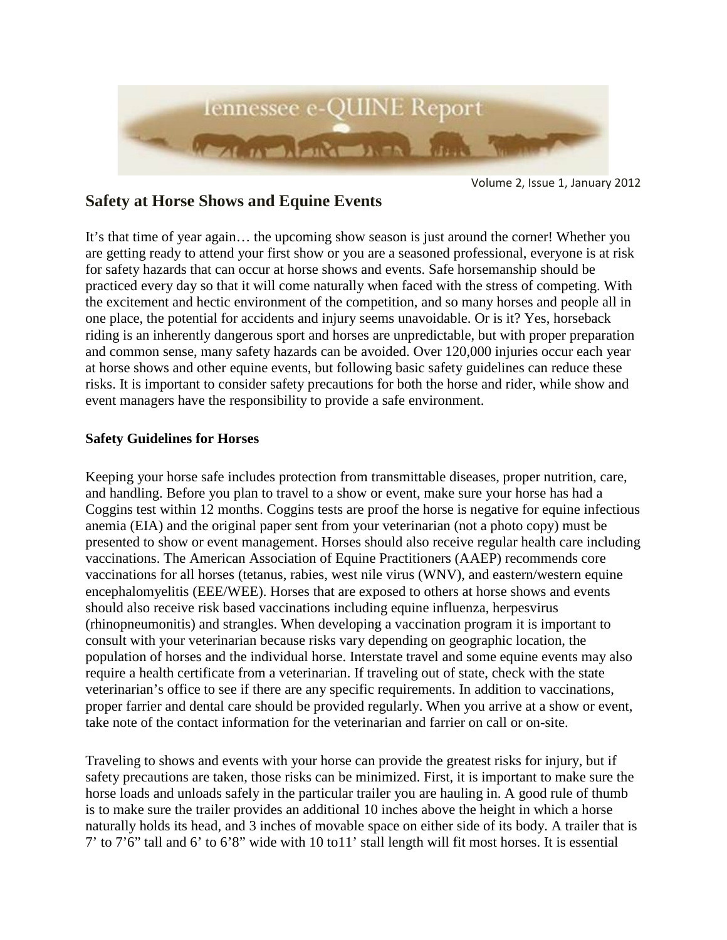

Volume 2, Issue 1, January 2012

# **Safety at Horse Shows and Equine Events**

It's that time of year again… the upcoming show season is just around the corner! Whether you are getting ready to attend your first show or you are a seasoned professional, everyone is at risk for safety hazards that can occur at horse shows and events. Safe horsemanship should be practiced every day so that it will come naturally when faced with the stress of competing. With the excitement and hectic environment of the competition, and so many horses and people all in one place, the potential for accidents and injury seems unavoidable. Or is it? Yes, horseback riding is an inherently dangerous sport and horses are unpredictable, but with proper preparation and common sense, many safety hazards can be avoided. Over 120,000 injuries occur each year at horse shows and other equine events, but following basic safety guidelines can reduce these risks. It is important to consider safety precautions for both the horse and rider, while show and event managers have the responsibility to provide a safe environment.

#### **Safety Guidelines for Horses**

Keeping your horse safe includes protection from transmittable diseases, proper nutrition, care, and handling. Before you plan to travel to a show or event, make sure your horse has had a Coggins test within 12 months. Coggins tests are proof the horse is negative for equine infectious anemia (EIA) and the original paper sent from your veterinarian (not a photo copy) must be presented to show or event management. Horses should also receive regular health care including vaccinations. The American Association of Equine Practitioners (AAEP) recommends core vaccinations for all horses (tetanus, rabies, west nile virus (WNV), and eastern/western equine encephalomyelitis (EEE/WEE). Horses that are exposed to others at horse shows and events should also receive risk based vaccinations including equine influenza, herpesvirus (rhinopneumonitis) and strangles. When developing a vaccination program it is important to consult with your veterinarian because risks vary depending on geographic location, the population of horses and the individual horse. Interstate travel and some equine events may also require a health certificate from a veterinarian. If traveling out of state, check with the state veterinarian's office to see if there are any specific requirements. In addition to vaccinations, proper farrier and dental care should be provided regularly. When you arrive at a show or event, take note of the contact information for the veterinarian and farrier on call or on-site.

Traveling to shows and events with your horse can provide the greatest risks for injury, but if safety precautions are taken, those risks can be minimized. First, it is important to make sure the horse loads and unloads safely in the particular trailer you are hauling in. A good rule of thumb is to make sure the trailer provides an additional 10 inches above the height in which a horse naturally holds its head, and 3 inches of movable space on either side of its body. A trailer that is 7' to 7'6" tall and 6' to 6'8" wide with 10 to11' stall length will fit most horses. It is essential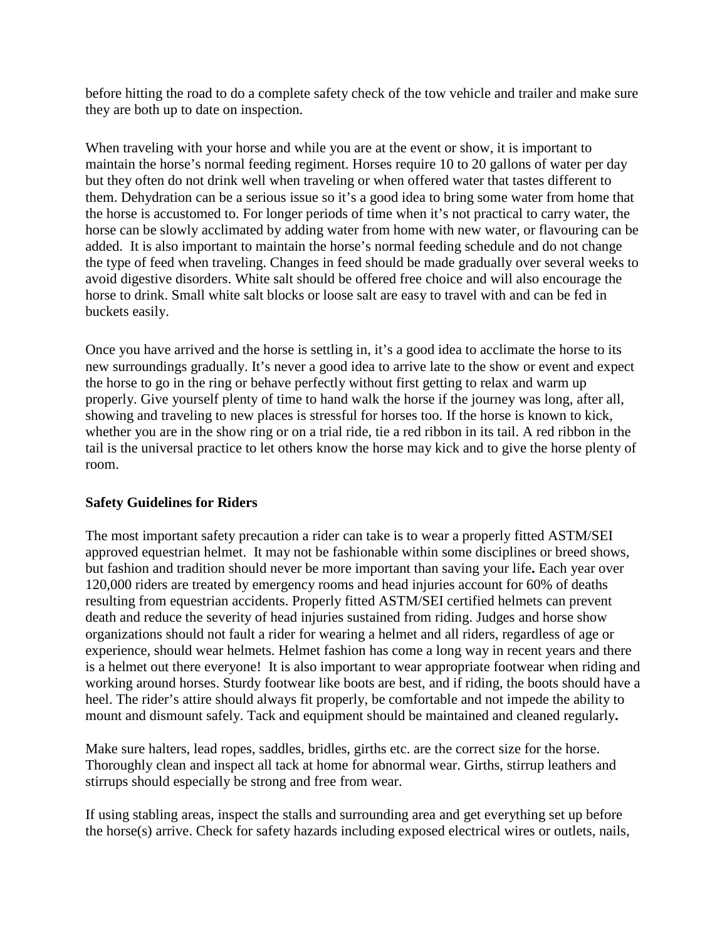before hitting the road to do a complete safety check of the tow vehicle and trailer and make sure they are both up to date on inspection.

When traveling with your horse and while you are at the event or show, it is important to maintain the horse's normal feeding regiment. Horses require 10 to 20 gallons of water per day but they often do not drink well when traveling or when offered water that tastes different to them. Dehydration can be a serious issue so it's a good idea to bring some water from home that the horse is accustomed to. For longer periods of time when it's not practical to carry water, the horse can be slowly acclimated by adding water from home with new water, or flavouring can be added. It is also important to maintain the horse's normal feeding schedule and do not change the type of feed when traveling. Changes in feed should be made gradually over several weeks to avoid digestive disorders. White salt should be offered free choice and will also encourage the horse to drink. Small white salt blocks or loose salt are easy to travel with and can be fed in buckets easily.

Once you have arrived and the horse is settling in, it's a good idea to acclimate the horse to its new surroundings gradually. It's never a good idea to arrive late to the show or event and expect the horse to go in the ring or behave perfectly without first getting to relax and warm up properly. Give yourself plenty of time to hand walk the horse if the journey was long, after all, showing and traveling to new places is stressful for horses too. If the horse is known to kick, whether you are in the show ring or on a trial ride, tie a red ribbon in its tail. A red ribbon in the tail is the universal practice to let others know the horse may kick and to give the horse plenty of room.

## **Safety Guidelines for Riders**

The most important safety precaution a rider can take is to wear a properly fitted ASTM/SEI approved equestrian helmet. It may not be fashionable within some disciplines or breed shows, but fashion and tradition should never be more important than saving your life**.** Each year over 120,000 riders are treated by emergency rooms and head injuries account for 60% of deaths resulting from equestrian accidents. Properly fitted ASTM/SEI certified helmets can prevent death and reduce the severity of head injuries sustained from riding. Judges and horse show organizations should not fault a rider for wearing a helmet and all riders, regardless of age or experience, should wear helmets. Helmet fashion has come a long way in recent years and there is a helmet out there everyone! It is also important to wear appropriate footwear when riding and working around horses. Sturdy footwear like boots are best, and if riding, the boots should have a heel. The rider's attire should always fit properly, be comfortable and not impede the ability to mount and dismount safely. Tack and equipment should be maintained and cleaned regularly**.** 

Make sure halters, lead ropes, saddles, bridles, girths etc. are the correct size for the horse. Thoroughly clean and inspect all tack at home for abnormal wear. Girths, stirrup leathers and stirrups should especially be strong and free from wear.

If using stabling areas, inspect the stalls and surrounding area and get everything set up before the horse(s) arrive. Check for safety hazards including exposed electrical wires or outlets, nails,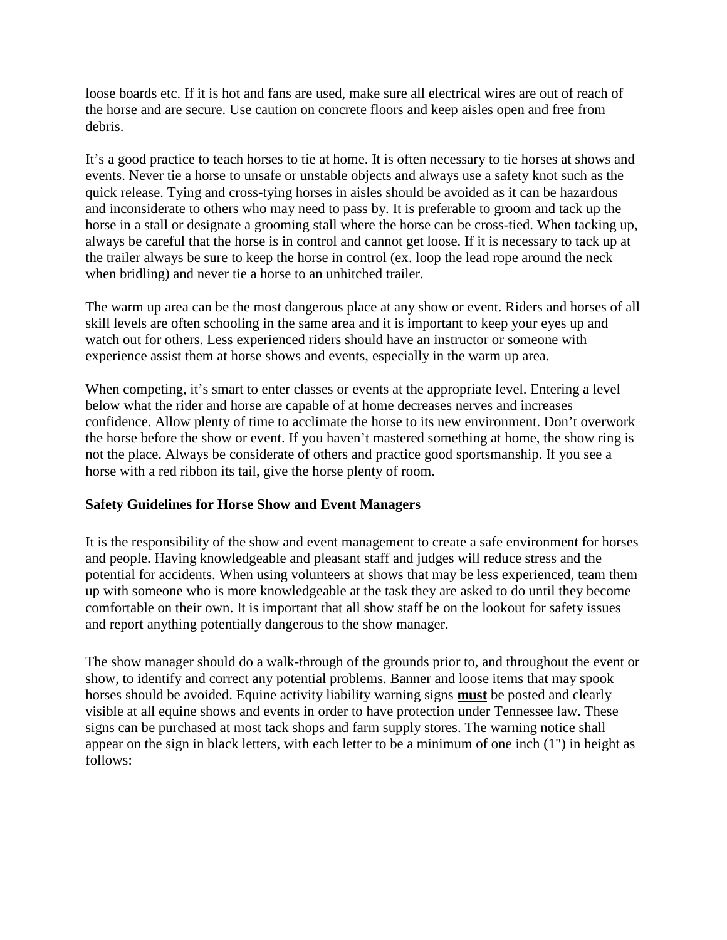loose boards etc. If it is hot and fans are used, make sure all electrical wires are out of reach of the horse and are secure. Use caution on concrete floors and keep aisles open and free from debris.

It's a good practice to teach horses to tie at home. It is often necessary to tie horses at shows and events. Never tie a horse to unsafe or unstable objects and always use a safety knot such as the quick release. Tying and cross-tying horses in aisles should be avoided as it can be hazardous and inconsiderate to others who may need to pass by. It is preferable to groom and tack up the horse in a stall or designate a grooming stall where the horse can be cross-tied. When tacking up, always be careful that the horse is in control and cannot get loose. If it is necessary to tack up at the trailer always be sure to keep the horse in control (ex. loop the lead rope around the neck when bridling) and never tie a horse to an unhitched trailer.

The warm up area can be the most dangerous place at any show or event. Riders and horses of all skill levels are often schooling in the same area and it is important to keep your eyes up and watch out for others. Less experienced riders should have an instructor or someone with experience assist them at horse shows and events, especially in the warm up area.

When competing, it's smart to enter classes or events at the appropriate level. Entering a level below what the rider and horse are capable of at home decreases nerves and increases confidence. Allow plenty of time to acclimate the horse to its new environment. Don't overwork the horse before the show or event. If you haven't mastered something at home, the show ring is not the place. Always be considerate of others and practice good sportsmanship. If you see a horse with a red ribbon its tail, give the horse plenty of room.

## **Safety Guidelines for Horse Show and Event Managers**

It is the responsibility of the show and event management to create a safe environment for horses and people. Having knowledgeable and pleasant staff and judges will reduce stress and the potential for accidents. When using volunteers at shows that may be less experienced, team them up with someone who is more knowledgeable at the task they are asked to do until they become comfortable on their own. It is important that all show staff be on the lookout for safety issues and report anything potentially dangerous to the show manager.

The show manager should do a walk-through of the grounds prior to, and throughout the event or show, to identify and correct any potential problems. Banner and loose items that may spook horses should be avoided. Equine activity liability warning signs **must** be posted and clearly visible at all equine shows and events in order to have protection under Tennessee law. These signs can be purchased at most tack shops and farm supply stores. The warning notice shall appear on the sign in black letters, with each letter to be a minimum of one inch (1") in height as follows: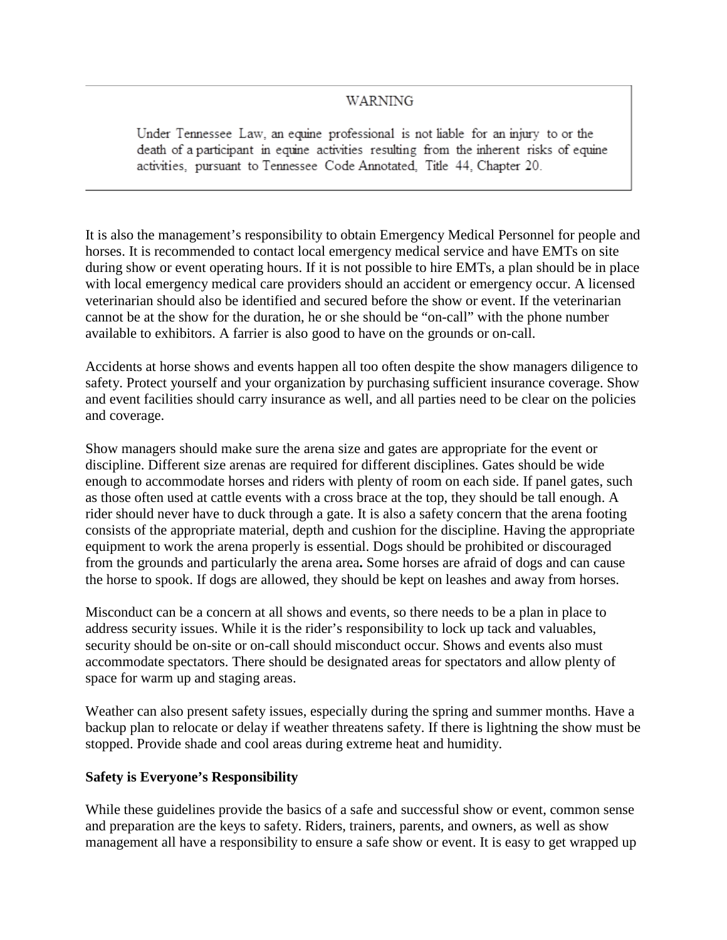#### **WARNING**

Under Tennessee Law, an equine professional is not liable for an injury to or the death of a participant in equine activities resulting from the inherent risks of equine activities, pursuant to Tennessee Code Annotated, Title 44, Chapter 20.

It is also the management's responsibility to obtain Emergency Medical Personnel for people and horses. It is recommended to contact local emergency medical service and have EMTs on site during show or event operating hours. If it is not possible to hire EMTs, a plan should be in place with local emergency medical care providers should an accident or emergency occur. A licensed veterinarian should also be identified and secured before the show or event. If the veterinarian cannot be at the show for the duration, he or she should be "on-call" with the phone number available to exhibitors. A farrier is also good to have on the grounds or on-call.

Accidents at horse shows and events happen all too often despite the show managers diligence to safety. Protect yourself and your organization by purchasing sufficient insurance coverage. Show and event facilities should carry insurance as well, and all parties need to be clear on the policies and coverage.

Show managers should make sure the arena size and gates are appropriate for the event or discipline. Different size arenas are required for different disciplines. Gates should be wide enough to accommodate horses and riders with plenty of room on each side. If panel gates, such as those often used at cattle events with a cross brace at the top, they should be tall enough. A rider should never have to duck through a gate. It is also a safety concern that the arena footing consists of the appropriate material, depth and cushion for the discipline. Having the appropriate equipment to work the arena properly is essential. Dogs should be prohibited or discouraged from the grounds and particularly the arena area**.** Some horses are afraid of dogs and can cause the horse to spook. If dogs are allowed, they should be kept on leashes and away from horses.

Misconduct can be a concern at all shows and events, so there needs to be a plan in place to address security issues. While it is the rider's responsibility to lock up tack and valuables, security should be on-site or on-call should misconduct occur. Shows and events also must accommodate spectators. There should be designated areas for spectators and allow plenty of space for warm up and staging areas.

Weather can also present safety issues, especially during the spring and summer months. Have a backup plan to relocate or delay if weather threatens safety. If there is lightning the show must be stopped. Provide shade and cool areas during extreme heat and humidity.

## **Safety is Everyone's Responsibility**

While these guidelines provide the basics of a safe and successful show or event, common sense and preparation are the keys to safety. Riders, trainers, parents, and owners, as well as show management all have a responsibility to ensure a safe show or event. It is easy to get wrapped up